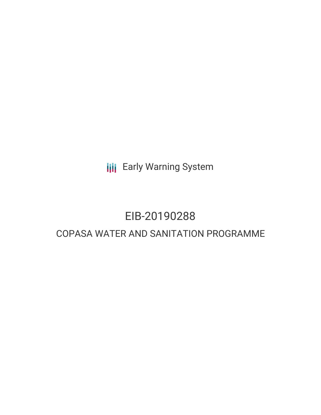**III** Early Warning System

# EIB-20190288

# COPASA WATER AND SANITATION PROGRAMME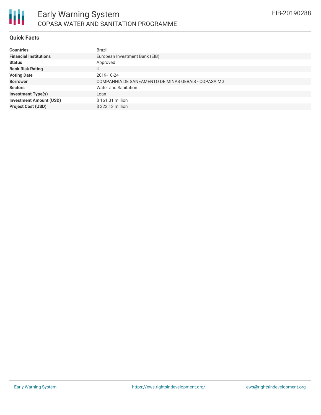

### **Quick Facts**

| <b>Countries</b>               | <b>Brazil</b>                                       |
|--------------------------------|-----------------------------------------------------|
| <b>Financial Institutions</b>  | European Investment Bank (EIB)                      |
| <b>Status</b>                  | Approved                                            |
| <b>Bank Risk Rating</b>        |                                                     |
| <b>Voting Date</b>             | 2019-10-24                                          |
| <b>Borrower</b>                | COMPANHIA DE SANEAMENTO DE MINAS GERAIS - COPASA MG |
| <b>Sectors</b>                 | Water and Sanitation                                |
| <b>Investment Type(s)</b>      | Loan                                                |
| <b>Investment Amount (USD)</b> | \$161.01 million                                    |
| <b>Project Cost (USD)</b>      | \$323.13 million                                    |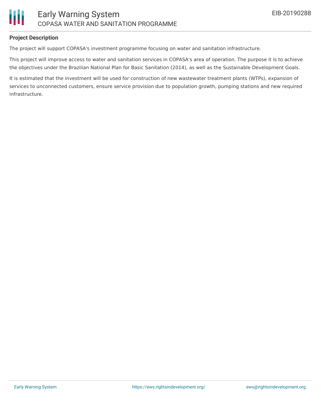

### **Project Description**

The project will support COPASA's investment programme focusing on water and sanitation infrastructure.

This project will improve access to water and sanitation services in COPASA's area of operation. The purpose it is to achieve the objectives under the Brazilian National Plan for Basic Sanitation (2014), as well as the Sustainable Development Goals.

It is estimated that the investment will be used for construction of new wastewater treatment plants (WTPs), expansion of services to unconnected customers, ensure service provision due to population growth, pumping stations and new required infrastructure.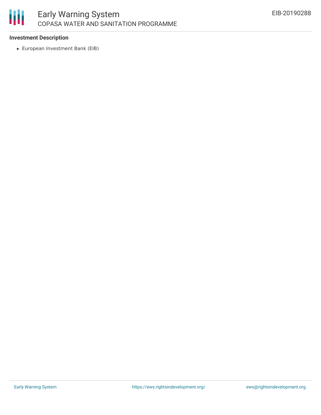

## **Investment Description**

European Investment Bank (EIB)